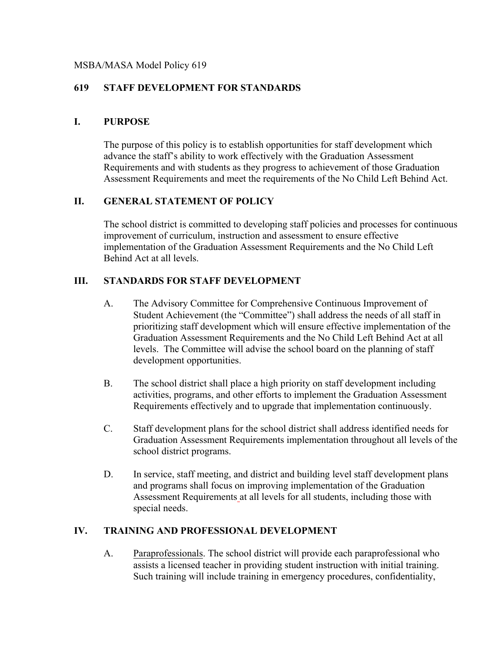### MSBA/MASA Model Policy 619

# **619 STAFF DEVELOPMENT FOR STANDARDS**

### **I. PURPOSE**

The purpose of this policy is to establish opportunities for staff development which advance the staff's ability to work effectively with the Graduation Assessment Requirements and with students as they progress to achievement of those Graduation Assessment Requirements and meet the requirements of the No Child Left Behind Act.

# **II. GENERAL STATEMENT OF POLICY**

The school district is committed to developing staff policies and processes for continuous improvement of curriculum, instruction and assessment to ensure effective implementation of the Graduation Assessment Requirements and the No Child Left Behind Act at all levels.

### **III. STANDARDS FOR STAFF DEVELOPMENT**

- A. The Advisory Committee for Comprehensive Continuous Improvement of Student Achievement (the "Committee") shall address the needs of all staff in prioritizing staff development which will ensure effective implementation of the Graduation Assessment Requirements and the No Child Left Behind Act at all levels. The Committee will advise the school board on the planning of staff development opportunities.
- B. The school district shall place a high priority on staff development including activities, programs, and other efforts to implement the Graduation Assessment Requirements effectively and to upgrade that implementation continuously.
- C. Staff development plans for the school district shall address identified needs for Graduation Assessment Requirements implementation throughout all levels of the school district programs.
- D. In service, staff meeting, and district and building level staff development plans and programs shall focus on improving implementation of the Graduation Assessment Requirements at all levels for all students, including those with special needs.

### **IV. TRAINING AND PROFESSIONAL DEVELOPMENT**

A. Paraprofessionals. The school district will provide each paraprofessional who assists a licensed teacher in providing student instruction with initial training. Such training will include training in emergency procedures, confidentiality,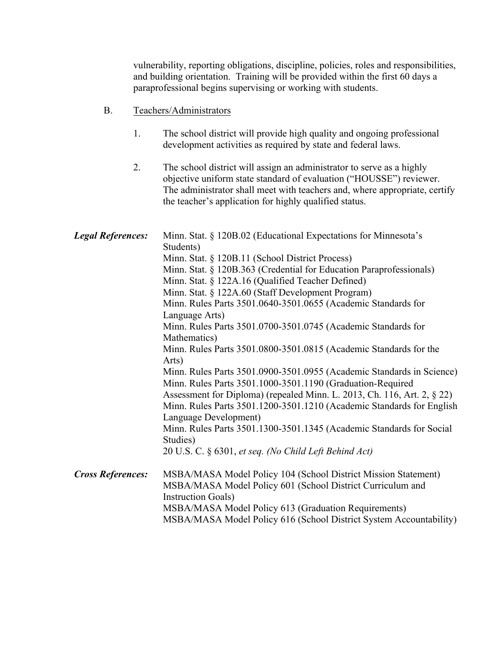vulnerability, reporting obligations, discipline, policies, roles and responsibilities, and building orientation. Training will be provided within the first 60 days a paraprofessional begins supervising or working with students.

- B. Teachers/Administrators
	- 1. The school district will provide high quality and ongoing professional development activities as required by state and federal laws.
	- 2. The school district will assign an administrator to serve as a highly objective uniform state standard of evaluation ("HOUSSE") reviewer. The administrator shall meet with teachers and, where appropriate, certify the teacher's application for highly qualified status.

| <b>Legal References:</b> | Minn. Stat. § 120B.02 (Educational Expectations for Minnesota's<br>Students)                   |
|--------------------------|------------------------------------------------------------------------------------------------|
|                          | Minn. Stat. § 120B.11 (School District Process)                                                |
|                          | Minn. Stat. § 120B.363 (Credential for Education Paraprofessionals)                            |
|                          | Minn. Stat. § 122A.16 (Qualified Teacher Defined)                                              |
|                          | Minn. Stat. § 122A.60 (Staff Development Program)                                              |
|                          | Minn. Rules Parts 3501.0640-3501.0655 (Academic Standards for                                  |
|                          | Language Arts)                                                                                 |
|                          | Minn. Rules Parts 3501.0700-3501.0745 (Academic Standards for                                  |
|                          | Mathematics)                                                                                   |
|                          | Minn. Rules Parts 3501.0800-3501.0815 (Academic Standards for the                              |
|                          | Arts)                                                                                          |
|                          | Minn. Rules Parts 3501.0900-3501.0955 (Academic Standards in Science)                          |
|                          | Minn. Rules Parts 3501.1000-3501.1190 (Graduation-Required                                     |
|                          | Assessment for Diploma) (repealed Minn. L. 2013, Ch. 116, Art. 2, § 22)                        |
|                          | Minn. Rules Parts 3501.1200-3501.1210 (Academic Standards for English<br>Language Development) |
|                          | Minn. Rules Parts 3501.1300-3501.1345 (Academic Standards for Social<br>Studies)               |
|                          | 20 U.S. C. § 6301, et seq. (No Child Left Behind Act)                                          |
| <b>Cross References:</b> | MSBA/MASA Model Policy 104 (School District Mission Statement)                                 |
|                          | MSBA/MASA Model Policy 601 (School District Curriculum and                                     |
|                          | <b>Instruction Goals</b> )                                                                     |
|                          | MSBA/MASA Model Policy 613 (Graduation Requirements)                                           |
|                          | MSBA/MASA Model Policy 616 (School District System Accountability)                             |